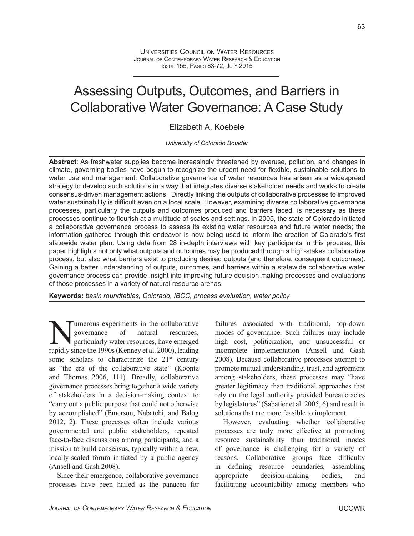# Assessing Outputs, Outcomes, and Barriers in Collaborative Water Governance: A Case Study

Elizabeth A. Koebele

*University of Colorado Boulder*

**Abstract**: As freshwater supplies become increasingly threatened by overuse, pollution, and changes in climate, governing bodies have begun to recognize the urgent need for flexible, sustainable solutions to water use and management. Collaborative governance of water resources has arisen as a widespread strategy to develop such solutions in a way that integrates diverse stakeholder needs and works to create consensus-driven management actions. Directly linking the outputs of collaborative processes to improved water sustainability is difficult even on a local scale. However, examining diverse collaborative governance processes, particularly the outputs and outcomes produced and barriers faced, is necessary as these processes continue to flourish at a multitude of scales and settings. In 2005, the state of Colorado initiated a collaborative governance process to assess its existing water resources and future water needs; the information gathered through this endeavor is now being used to inform the creation of Colorado's first statewide water plan. Using data from 28 in-depth interviews with key participants in this process, this paper highlights not only what outputs and outcomes may be produced through a high-stakes collaborative process, but also what barriers exist to producing desired outputs (and therefore, consequent outcomes). Gaining a better understanding of outputs, outcomes, and barriers within a statewide collaborative water governance process can provide insight into improving future decision-making processes and evaluations of those processes in a variety of natural resource arenas.

**Keywords:** *basin roundtables, Colorado, IBCC, process evaluation, water policy*

Numerous experiments in the collaborative<br>governance of natural resources,<br>particularly water resources, have emerged<br>ranidly since the 1990s (Kenney et al. 2000) leading governance of natural resources, particularly water resources, have emerged rapidly since the 1990s (Kenney et al. 2000), leading some scholars to characterize the  $21<sup>st</sup>$  century as "the era of the collaborative state" (Koontz and Thomas 2006, 111). Broadly, collaborative governance processes bring together a wide variety of stakeholders in a decision-making context to "carry out a public purpose that could not otherwise by accomplished" (Emerson, Nabatchi, and Balog 2012, 2). These processes often include various governmental and public stakeholders, repeated face-to-face discussions among participants, and a mission to build consensus, typically within a new, locally-scaled forum initiated by a public agency (Ansell and Gash 2008).

Since their emergence, collaborative governance processes have been hailed as the panacea for

failures associated with traditional, top-down modes of governance. Such failures may include high cost, politicization, and unsuccessful or incomplete implementation (Ansell and Gash 2008). Because collaborative processes attempt to promote mutual understanding, trust, and agreement among stakeholders, these processes may "have greater legitimacy than traditional approaches that rely on the legal authority provided bureaucracies by legislatures" (Sabatier et al. 2005, 6) and result in solutions that are more feasible to implement.

However, evaluating whether collaborative processes are truly more effective at promoting resource sustainability than traditional modes of governance is challenging for a variety of reasons. Collaborative groups face difficulty in defining resource boundaries, assembling appropriate decision-making bodies, and facilitating accountability among members who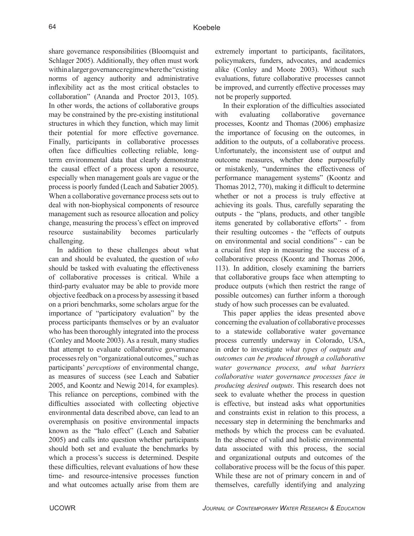share governance responsibilities (Bloomquist and Schlager 2005). Additionally, they often must work within a larger governance regime where the "existing norms of agency authority and administrative inflexibility act as the most critical obstacles to collaboration" (Ananda and Proctor 2013, 105). In other words, the actions of collaborative groups may be constrained by the pre-existing institutional structures in which they function, which may limit their potential for more effective governance. Finally, participants in collaborative processes often face difficulties collecting reliable, longterm environmental data that clearly demonstrate the causal effect of a process upon a resource, especially when management goals are vague or the process is poorly funded (Leach and Sabatier 2005). When a collaborative governance process sets out to deal with non-biophysical components of resource management such as resource allocation and policy change, measuring the process's effect on improved resource sustainability becomes particularly challenging.

In addition to these challenges about what can and should be evaluated, the question of *who* should be tasked with evaluating the effectiveness of collaborative processes is critical. While a third-party evaluator may be able to provide more objective feedback on a process by assessing it based on a priori benchmarks, some scholars argue for the importance of "participatory evaluation" by the process participants themselves or by an evaluator who has been thoroughly integrated into the process (Conley and Moote 2003). As a result, many studies that attempt to evaluate collaborative governance processes rely on "organizational outcomes," such as participants' *perceptions* of environmental change, as measures of success (see Leach and Sabatier 2005, and Koontz and Newig 2014, for examples). This reliance on perceptions, combined with the difficulties associated with collecting objective environmental data described above, can lead to an overemphasis on positive environmental impacts known as the "halo effect" (Leach and Sabatier 2005) and calls into question whether participants should both set and evaluate the benchmarks by which a process's success is determined. Despite these difficulties, relevant evaluations of how these time- and resource-intensive processes function and what outcomes actually arise from them are

extremely important to participants, facilitators, policymakers, funders, advocates, and academics alike (Conley and Moote 2003). Without such evaluations, future collaborative processes cannot be improved, and currently effective processes may not be properly supported.

In their exploration of the difficulties associated with evaluating collaborative governance processes, Koontz and Thomas (2006) emphasize the importance of focusing on the outcomes, in addition to the outputs, of a collaborative process. Unfortunately, the inconsistent use of output and outcome measures, whether done purposefully or mistakenly, "undermines the effectiveness of performance management systems" (Koontz and Thomas 2012, 770), making it difficult to determine whether or not a process is truly effective at achieving its goals. Thus, carefully separating the outputs - the "plans, products, and other tangible items generated by collaborative efforts" - from their resulting outcomes - the "effects of outputs on environmental and social conditions" - can be a crucial first step in measuring the success of a collaborative process (Koontz and Thomas 2006, 113). In addition, closely examining the barriers that collaborative groups face when attempting to produce outputs (which then restrict the range of possible outcomes) can further inform a thorough study of how such processes can be evaluated.

This paper applies the ideas presented above concerning the evaluation of collaborative processes to a statewide collaborative water governance process currently underway in Colorado, USA, in order to investigate *what types of outputs and outcomes can be produced through a collaborative water governance process, and what barriers collaborative water governance processes face in producing desired outputs*. This research does not seek to evaluate whether the process in question is effective, but instead asks what opportunities and constraints exist in relation to this process, a necessary step in determining the benchmarks and methods by which the process can be evaluated. In the absence of valid and holistic environmental data associated with this process, the social and organizational outputs and outcomes of the collaborative process will be the focus of this paper. While these are not of primary concern in and of themselves, carefully identifying and analyzing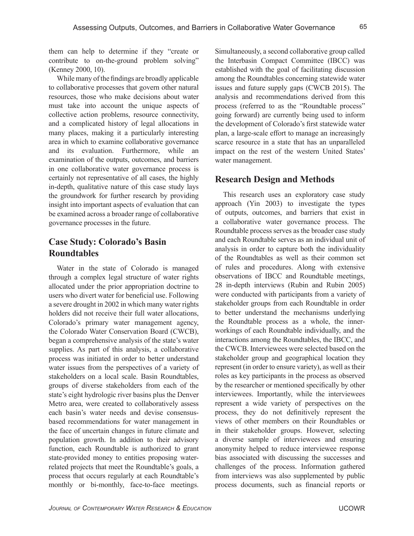them can help to determine if they "create or contribute to on-the-ground problem solving" (Kenney 2000, 10).

While many of the findings are broadly applicable to collaborative processes that govern other natural resources, those who make decisions about water must take into account the unique aspects of collective action problems, resource connectivity, and a complicated history of legal allocations in many places, making it a particularly interesting area in which to examine collaborative governance and its evaluation. Furthermore, while an examination of the outputs, outcomes, and barriers in one collaborative water governance process is certainly not representative of all cases, the highly in-depth, qualitative nature of this case study lays the groundwork for further research by providing insight into important aspects of evaluation that can be examined across a broader range of collaborative governance processes in the future.

# **Case Study: Colorado's Basin Roundtables**

Water in the state of Colorado is managed through a complex legal structure of water rights allocated under the prior appropriation doctrine to users who divert water for beneficial use. Following a severe drought in 2002 in which many water rights holders did not receive their full water allocations, Colorado's primary water management agency, the Colorado Water Conservation Board (CWCB), began a comprehensive analysis of the state's water supplies. As part of this analysis, a collaborative process was initiated in order to better understand water issues from the perspectives of a variety of stakeholders on a local scale. Basin Roundtables, groups of diverse stakeholders from each of the state's eight hydrologic river basins plus the Denver Metro area, were created to collaboratively assess each basin's water needs and devise consensusbased recommendations for water management in the face of uncertain changes in future climate and population growth. In addition to their advisory function, each Roundtable is authorized to grant state-provided money to entities proposing waterrelated projects that meet the Roundtable's goals, a process that occurs regularly at each Roundtable's monthly or bi-monthly, face-to-face meetings.

Simultaneously, a second collaborative group called the Interbasin Compact Committee (IBCC) was established with the goal of facilitating discussion among the Roundtables concerning statewide water issues and future supply gaps (CWCB 2015). The analysis and recommendations derived from this process (referred to as the "Roundtable process" going forward) are currently being used to inform the development of Colorado's first statewide water plan, a large-scale effort to manage an increasingly scarce resource in a state that has an unparalleled impact on the rest of the western United States' water management.

# **Research Design and Methods**

This research uses an exploratory case study approach (Yin 2003) to investigate the types of outputs, outcomes, and barriers that exist in a collaborative water governance process. The Roundtable process serves as the broader case study and each Roundtable serves as an individual unit of analysis in order to capture both the individuality of the Roundtables as well as their common set of rules and procedures. Along with extensive observations of IBCC and Roundtable meetings, 28 in-depth interviews (Rubin and Rubin 2005) were conducted with participants from a variety of stakeholder groups from each Roundtable in order to better understand the mechanisms underlying the Roundtable process as a whole, the innerworkings of each Roundtable individually, and the interactions among the Roundtables, the IBCC, and the CWCB. Interviewees were selected based on the stakeholder group and geographical location they represent (in order to ensure variety), as well as their roles as key participants in the process as observed by the researcher or mentioned specifically by other interviewees. Importantly, while the interviewees represent a wide variety of perspectives on the process, they do not definitively represent the views of other members on their Roundtables or in their stakeholder groups. However, selecting a diverse sample of interviewees and ensuring anonymity helped to reduce interviewee response bias associated with discussing the successes and challenges of the process. Information gathered from interviews was also supplemented by public process documents, such as financial reports or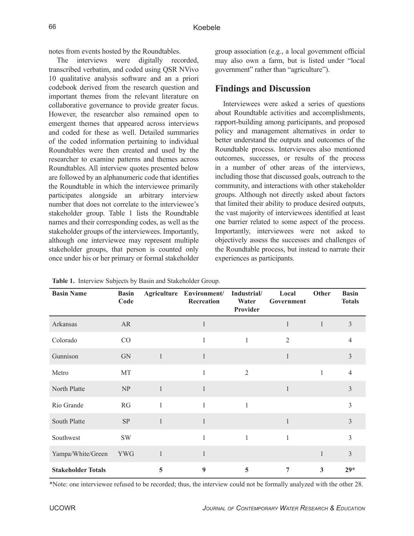notes from events hosted by the Roundtables.

The interviews were digitally recorded, transcribed verbatim, and coded using QSR NVivo 10 qualitative analysis software and an a priori codebook derived from the research question and important themes from the relevant literature on collaborative governance to provide greater focus. However, the researcher also remained open to emergent themes that appeared across interviews and coded for these as well. Detailed summaries of the coded information pertaining to individual Roundtables were then created and used by the researcher to examine patterns and themes across Roundtables. All interview quotes presented below are followed by an alphanumeric code that identifies the Roundtable in which the interviewee primarily participates alongside an arbitrary interview number that does not correlate to the interviewee's stakeholder group. Table 1 lists the Roundtable names and their corresponding codes, as well as the stakeholder groups of the interviewees. Importantly, although one interviewee may represent multiple stakeholder groups, that person is counted only once under his or her primary or formal stakeholder group association (e.g., a local government official may also own a farm, but is listed under "local government" rather than "agriculture").

# **Findings and Discussion**

Interviewees were asked a series of questions about Roundtable activities and accomplishments, rapport-building among participants, and proposed policy and management alternatives in order to better understand the outputs and outcomes of the Roundtable process. Interviewees also mentioned outcomes, successes, or results of the process in a number of other areas of the interviews, including those that discussed goals, outreach to the community, and interactions with other stakeholder groups. Although not directly asked about factors that limited their ability to produce desired outputs, the vast majority of interviewees identified at least one barrier related to some aspect of the process. Importantly, interviewees were not asked to objectively assess the successes and challenges of the Roundtable process, but instead to narrate their experiences as participants.

| <b>Basin Name</b>         | <b>Basin</b><br>Code |              | <b>Agriculture Environment/</b><br>Recreation | Industrial/<br>Water<br>Provider | Local<br>Government | Other        | <b>Basin</b><br><b>Totals</b> |
|---------------------------|----------------------|--------------|-----------------------------------------------|----------------------------------|---------------------|--------------|-------------------------------|
| Arkansas                  | AR                   |              | $\mathbf{1}$                                  |                                  | 1                   | $\mathbf{1}$ | $\mathfrak{Z}$                |
| Colorado                  | $\rm CO$             |              | $\mathbf{1}$                                  | 1                                | $\overline{2}$      |              | $\overline{4}$                |
| Gunnison                  | <b>GN</b>            | $\mathbf{1}$ | $\mathbf{1}$                                  |                                  | 1                   |              | $\overline{3}$                |
| Metro                     | МT                   |              | $\mathbf{1}$                                  | $\overline{2}$                   |                     | $\mathbf{1}$ | $\overline{4}$                |
| North Platte              | NP                   | $\,1$        | $\mathbf{1}$                                  |                                  | $\mathbf{1}$        |              | $\mathfrak{Z}$                |
| Rio Grande                | RG                   | $\mathbf{1}$ | $\mathbf{1}$                                  | $\mathbf{1}$                     |                     |              | 3                             |
| South Platte              | SP                   | $\mathbf{1}$ | $\mathbf{1}$                                  |                                  | $\mathbf{1}$        |              | $\overline{3}$                |
| Southwest                 | <b>SW</b>            |              | $\mathbf{1}$                                  | 1                                | $\mathbf{1}$        |              | 3                             |
| Yampa/White/Green         | <b>YWG</b>           | $\mathbf{1}$ | $\mathbf{1}$                                  |                                  |                     | $\mathbf{1}$ | $\overline{3}$                |
| <b>Stakeholder Totals</b> |                      | 5            | 9                                             | 5                                | 7                   | $\mathbf{3}$ | $29*$                         |

**Table 1.** Interview Subjects by Basin and Stakeholder Group.

\*Note: one interviewee refused to be recorded; thus, the interview could not be formally analyzed with the other 28.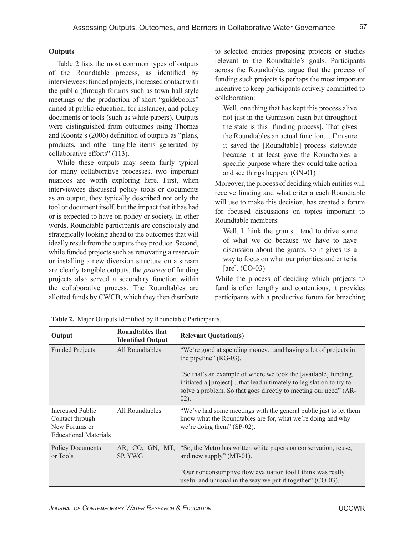#### **Outputs**

Table 2 lists the most common types of outputs of the Roundtable process, as identified by interviewees: funded projects, increased contact with the public (through forums such as town hall style meetings or the production of short "guidebooks" aimed at public education, for instance), and policy documents or tools (such as white papers). Outputs were distinguished from outcomes using Thomas and Koontz's (2006) definition of outputs as "plans, products, and other tangible items generated by collaborative efforts" (113).

While these outputs may seem fairly typical for many collaborative processes, two important nuances are worth exploring here. First, when interviewees discussed policy tools or documents as an output, they typically described not only the tool or document itself, but the impact that it has had or is expected to have on policy or society. In other words, Roundtable participants are consciously and strategically looking ahead to the outcomes that will ideally result from the outputs they produce. Second, while funded projects such as renovating a reservoir or installing a new diversion structure on a stream are clearly tangible outputs, the *process* of funding projects also served a secondary function within the collaborative process. The Roundtables are allotted funds by CWCB, which they then distribute

to selected entities proposing projects or studies relevant to the Roundtable's goals. Participants across the Roundtables argue that the process of funding such projects is perhaps the most important incentive to keep participants actively committed to collaboration:

Well, one thing that has kept this process alive not just in the Gunnison basin but throughout the state is this [funding process]. That gives the Roundtables an actual function… I'm sure it saved the [Roundtable] process statewide because it at least gave the Roundtables a specific purpose where they could take action and see things happen. (GN-01)

Moreover, the process of deciding which entities will receive funding and what criteria each Roundtable will use to make this decision, has created a forum for focused discussions on topics important to Roundtable members:

Well, I think the grants...tend to drive some of what we do because we have to have discussion about the grants, so it gives us a way to focus on what our priorities and criteria [are]. (CO-03)

While the process of deciding which projects to fund is often lengthy and contentious, it provides participants with a productive forum for breaching

| Output                                                                               | <b>Roundtables that</b><br><b>Identified Output</b> | <b>Relevant Quotation(s)</b>                                                                                                                                                                                         |
|--------------------------------------------------------------------------------------|-----------------------------------------------------|----------------------------------------------------------------------------------------------------------------------------------------------------------------------------------------------------------------------|
| <b>Funded Projects</b>                                                               | All Roundtables                                     | "We're good at spending moneyand having a lot of projects in<br>the pipeline" $(RG-03)$ .                                                                                                                            |
|                                                                                      |                                                     | "So that's an example of where we took the [available] funding,<br>initiated a [project]that lead ultimately to legislation to try to<br>solve a problem. So that goes directly to meeting our need" (AR-<br>$02$ ). |
| Increased Public<br>Contact through<br>New Forums or<br><b>Educational Materials</b> | All Roundtables                                     | "We've had some meetings with the general public just to let them<br>know what the Roundtables are for, what we're doing and why<br>we're doing them" (SP-02).                                                       |
| Policy Documents<br>or Tools                                                         | SP. YWG                                             | AR, CO, GN, MT, "So, the Metro has written white papers on conservation, reuse,<br>and new supply" (MT-01).                                                                                                          |
|                                                                                      |                                                     | "Our nonconsumptive flow evaluation tool I think was really<br>useful and unusual in the way we put it together" (CO-03).                                                                                            |

**Table 2.** Major Outputs Identified by Roundtable Participants.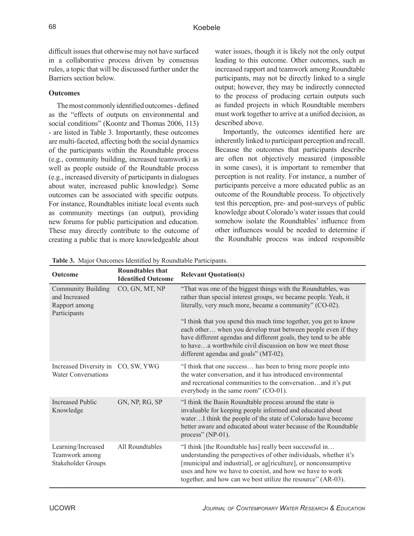difficult issues that otherwise may not have surfaced in a collaborative process driven by consensus rules, a topic that will be discussed further under the Barriers section below.

#### **Outcomes**

The most commonly identified outcomes - defined as the "effects of outputs on environmental and social conditions" (Koontz and Thomas 2006, 113) - are listed in Table 3. Importantly, these outcomes are multi-faceted, affecting both the social dynamics of the participants within the Roundtable process (e.g., community building, increased teamwork) as well as people outside of the Roundtable process (e.g., increased diversity of participants in dialogues about water, increased public knowledge). Some outcomes can be associated with specific outputs. For instance, Roundtables initiate local events such as community meetings (an output), providing new forums for public participation and education. These may directly contribute to the outcome of creating a public that is more knowledgeable about water issues, though it is likely not the only output leading to this outcome. Other outcomes, such as increased rapport and teamwork among Roundtable participants, may not be directly linked to a single output; however, they may be indirectly connected to the process of producing certain outputs such as funded projects in which Roundtable members must work together to arrive at a unified decision, as described above.

Importantly, the outcomes identified here are inherently linked to participant perception and recall. Because the outcomes that participants describe are often not objectively measured (impossible in some cases), it is important to remember that perception is not reality. For instance, a number of participants perceive a more educated public as an outcome of the Roundtable process. To objectively test this perception, pre- and post-surveys of public knowledge about Colorado's water issues that could somehow isolate the Roundtables' influence from other influences would be needed to determine if the Roundtable process was indeed responsible

| <b>Outcome</b>                                                              | <b>Roundtables that</b><br><b>Identified Outcome</b> | <b>Relevant Quotation(s)</b>                                                                                                                                                                                                                                                                                                |
|-----------------------------------------------------------------------------|------------------------------------------------------|-----------------------------------------------------------------------------------------------------------------------------------------------------------------------------------------------------------------------------------------------------------------------------------------------------------------------------|
| <b>Community Building</b><br>and Increased<br>Rapport among<br>Participants | CO, GN, MT, NP                                       | "That was one of the biggest things with the Roundtables, was<br>rather than special interest groups, we became people. Yeah, it<br>literally, very much more, became a community" (CO-02).                                                                                                                                 |
|                                                                             |                                                      | "I think that you spend this much time together, you get to know<br>each other when you develop trust between people even if they<br>have different agendas and different goals, they tend to be able<br>to havea worthwhile civil discussion on how we meet those<br>different agendas and goals" (MT-02).                 |
| Increased Diversity in CO, SW, YWG<br><b>Water Conversations</b>            |                                                      | "I think that one success has been to bring more people into<br>the water conversation, and it has introduced environmental<br>and recreational communities to the conversationand it's put<br>everybody in the same room" (CO-01).                                                                                         |
| <b>Increased Public</b><br>Knowledge                                        | GN, NP, RG, SP                                       | "I think the Basin Roundtable process around the state is<br>invaluable for keeping people informed and educated about<br>waterI think the people of the state of Colorado have become<br>better aware and educated about water because of the Roundtable<br>process" $(NP-01)$ .                                           |
| Learning/Increased<br>Teamwork among<br>Stakeholder Groups                  | All Roundtables                                      | "I think [the Roundtable has] really been successful in<br>understanding the perspectives of other individuals, whether it's<br>[municipal and industrial], or ag[riculture], or nonconsumptive<br>uses and how we have to coexist, and how we have to work<br>together, and how can we best utilize the resource" (AR-03). |

**Table 3.** Major Outcomes Identified by Roundtable Participants.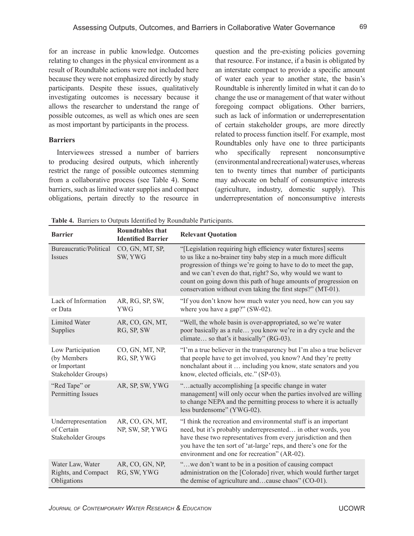for an increase in public knowledge. Outcomes relating to changes in the physical environment as a result of Roundtable actions were not included here because they were not emphasized directly by study participants. Despite these issues, qualitatively investigating outcomes is necessary because it allows the researcher to understand the range of possible outcomes, as well as which ones are seen as most important by participants in the process.

#### **Barriers**

Interviewees stressed a number of barriers to producing desired outputs, which inherently restrict the range of possible outcomes stemming from a collaborative process (see Table 4). Some barriers, such as limited water supplies and compact obligations, pertain directly to the resource in

question and the pre-existing policies governing that resource. For instance, if a basin is obligated by an interstate compact to provide a specific amount of water each year to another state, the basin's Roundtable is inherently limited in what it can do to change the use or management of that water without foregoing compact obligations. Other barriers, such as lack of information or underrepresentation of certain stakeholder groups, are more directly related to process function itself. For example, most Roundtables only have one to three participants who specifically represent nonconsumptive (environmental and recreational) water uses, whereas ten to twenty times that number of participants may advocate on behalf of consumptive interests (agriculture, industry, domestic supply). This underrepresentation of nonconsumptive interests

**Table 4.** Barriers to Outputs Identified by Roundtable Participants.

| <b>Barrier</b>                                                          | <b>Roundtables that</b><br><b>Identified Barrier</b> | <b>Relevant Quotation</b>                                                                                                                                                                                                                                                                                                                                                                            |
|-------------------------------------------------------------------------|------------------------------------------------------|------------------------------------------------------------------------------------------------------------------------------------------------------------------------------------------------------------------------------------------------------------------------------------------------------------------------------------------------------------------------------------------------------|
| Bureaucratic/Political<br><i>Issues</i>                                 | CO, GN, MT, SP,<br>SW, YWG                           | "[Legislation requiring high efficiency water fixtures] seems<br>to us like a no-brainer tiny baby step in a much more difficult<br>progression of things we're going to have to do to meet the gap,<br>and we can't even do that, right? So, why would we want to<br>count on going down this path of huge amounts of progression on<br>conservation without even taking the first steps?" (MT-01). |
| Lack of Information<br>or Data                                          | AR, RG, SP, SW,<br><b>YWG</b>                        | "If you don't know how much water you need, how can you say<br>where you have a gap?" (SW-02).                                                                                                                                                                                                                                                                                                       |
| <b>Limited Water</b><br>Supplies                                        | AR, CO, GN, MT,<br>RG, SP, SW                        | "Well, the whole basin is over-appropriated, so we're water<br>poor basically as a rule you know we're in a dry cycle and the<br>climate so that's it basically" (RG-03).                                                                                                                                                                                                                            |
| Low Participation<br>(by Members<br>or Important<br>Stakeholder Groups) | CO, GN, MT, NP,<br>RG, SP, YWG                       | "I'm a true believer in the transparency but I'm also a true believer<br>that people have to get involved, you know? And they're pretty<br>nonchalant about it  including you know, state senators and you<br>know, elected officials, etc." (SP-03).                                                                                                                                                |
| "Red Tape" or<br>Permitting Issues                                      | AR, SP, SW, YWG                                      | "actually accomplishing [a specific change in water<br>management] will only occur when the parties involved are willing<br>to change NEPA and the permitting process to where it is actually<br>less burdensome" (YWG-02).                                                                                                                                                                          |
| Underrepresentation<br>of Certain<br>Stakeholder Groups                 | AR, CO, GN, MT,<br>NP, SW, SP, YWG                   | "I think the recreation and environmental stuff is an important<br>need, but it's probably underrepresented in other words, you<br>have these two representatives from every jurisdiction and then<br>you have the ten sort of 'at-large' reps, and there's one for the<br>environment and one for recreation" (AR-02).                                                                              |
| Water Law, Water<br>Rights, and Compact<br>Obligations                  | AR, CO, GN, NP,<br>RG, SW, YWG                       | "we don't want to be in a position of causing compact"<br>administration on the [Colorado] river, which would further target<br>the demise of agriculture andcause chaos" (CO-01).                                                                                                                                                                                                                   |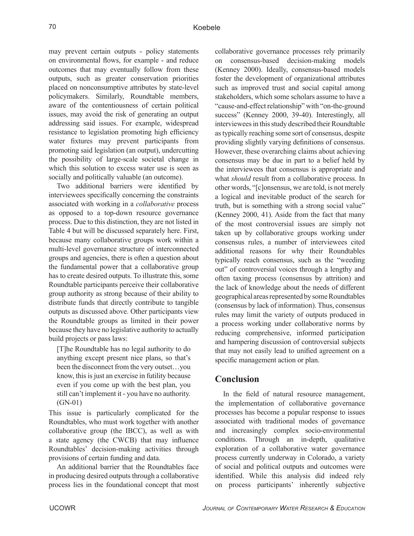may prevent certain outputs - policy statements on environmental flows, for example - and reduce outcomes that may eventually follow from these outputs, such as greater conservation priorities placed on nonconsumptive attributes by state-level policymakers. Similarly, Roundtable members, aware of the contentiousness of certain political issues, may avoid the risk of generating an output addressing said issues. For example, widespread resistance to legislation promoting high efficiency water fixtures may prevent participants from promoting said legislation (an output), undercutting the possibility of large-scale societal change in which this solution to excess water use is seen as socially and politically valuable (an outcome).

Two additional barriers were identified by interviewees specifically concerning the constraints associated with working in a *collaborative* process as opposed to a top-down resource governance process. Due to this distinction, they are not listed in Table 4 but will be discussed separately here. First, because many collaborative groups work within a multi-level governance structure of interconnected groups and agencies, there is often a question about the fundamental power that a collaborative group has to create desired outputs. To illustrate this, some Roundtable participants perceive their collaborative group authority as strong because of their ability to distribute funds that directly contribute to tangible outputs as discussed above. Other participants view the Roundtable groups as limited in their power because they have no legislative authority to actually build projects or pass laws:

[T]he Roundtable has no legal authority to do anything except present nice plans, so that's been the disconnect from the very outset…you know, this is just an exercise in futility because even if you come up with the best plan, you still can't implement it - you have no authority. (GN-01)

This issue is particularly complicated for the Roundtables, who must work together with another collaborative group (the IBCC), as well as with a state agency (the CWCB) that may influence Roundtables' decision-making activities through provisions of certain funding and data.

An additional barrier that the Roundtables face in producing desired outputs through a collaborative process lies in the foundational concept that most collaborative governance processes rely primarily on consensus-based decision-making models (Kenney 2000). Ideally, consensus-based models foster the development of organizational attributes such as improved trust and social capital among stakeholders, which some scholars assume to have a "cause-and-effect relationship" with "on-the-ground success" (Kenney 2000, 39-40). Interestingly, all interviewees in this study described their Roundtable as typically reaching some sort of consensus, despite providing slightly varying definitions of consensus. However, these overarching claims about achieving consensus may be due in part to a belief held by the interviewees that consensus is appropriate and what *should* result from a collaborative process. In other words, "[c]onsensus, we are told, is not merely a logical and inevitable product of the search for truth, but is something with a strong social value" (Kenney 2000, 41). Aside from the fact that many of the most controversial issues are simply not taken up by collaborative groups working under consensus rules, a number of interviewees cited additional reasons for why their Roundtables typically reach consensus, such as the "weeding out" of controversial voices through a lengthy and often taxing process (consensus by attrition) and the lack of knowledge about the needs of different geographical areas represented by some Roundtables (consensus by lack of information). Thus, consensus rules may limit the variety of outputs produced in a process working under collaborative norms by reducing comprehensive, informed participation and hampering discussion of controversial subjects that may not easily lead to unified agreement on a specific management action or plan.

# **Conclusion**

In the field of natural resource management, the implementation of collaborative governance processes has become a popular response to issues associated with traditional modes of governance and increasingly complex socio-environmental conditions. Through an in-depth, qualitative exploration of a collaborative water governance process currently underway in Colorado, a variety of social and political outputs and outcomes were identified. While this analysis did indeed rely on process participants' inherently subjective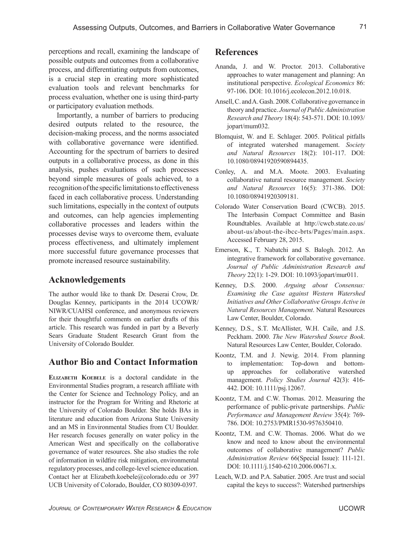perceptions and recall, examining the landscape of possible outputs and outcomes from a collaborative process, and differentiating outputs from outcomes, is a crucial step in creating more sophisticated evaluation tools and relevant benchmarks for process evaluation, whether one is using third-party or participatory evaluation methods.

Importantly, a number of barriers to producing desired outputs related to the resource, the decision-making process, and the norms associated with collaborative governance were identified. Accounting for the spectrum of barriers to desired outputs in a collaborative process, as done in this analysis, pushes evaluations of such processes beyond simple measures of goals achieved, to a recognition of the specific limitations to effectiveness faced in each collaborative process. Understanding such limitations, especially in the context of outputs and outcomes, can help agencies implementing collaborative processes and leaders within the processes devise ways to overcome them, evaluate process effectiveness, and ultimately implement more successful future governance processes that promote increased resource sustainability.

## **Acknowledgements**

The author would like to thank Dr. Deserai Crow, Dr. Douglas Kenney, participants in the 2014 UCOWR/ NIWR/CUAHSI conference, and anonymous reviewers for their thoughtful comments on earlier drafts of this article. This research was funded in part by a Beverly Sears Graduate Student Research Grant from the University of Colorado Boulder.

## **Author Bio and Contact Information**

**Elizabeth Koebele** is a doctoral candidate in the Environmental Studies program, a research affiliate with the Center for Science and Technology Policy, and an instructor for the Program for Writing and Rhetoric at the University of Colorado Boulder. She holds BAs in literature and education from Arizona State University and an MS in Environmental Studies from CU Boulder. Her research focuses generally on water policy in the American West and specifically on the collaborative governance of water resources. She also studies the role of information in wildfire risk mitigation, environmental regulatory processes, and college-level science education. Contact her at Elizabeth.koebele@colorado.edu or 397 UCB University of Colorado, Boulder, CO 80309-0397.

### **References**

- Ananda, J. and W. Proctor. 2013. Collaborative approaches to water management and planning: An institutional perspective. *Ecological Economics* 86: 97-106. DOI: 10.1016/j.ecolecon.2012.10.018.
- Ansell, C. and A. Gash. 2008. Collaborative governance in theory and practice. *Journal of Public Administration Research and Theory* 18(4): 543-571. DOI: 10.1093/ jopart/mum032.
- Blomquist, W. and E. Schlager. 2005. Political pitfalls of integrated watershed management. *Society and Natural Resources* 18(2): 101-117. DOI: 10.1080/08941920590894435.
- Conley, A. and M.A. Moote. 2003. Evaluating collaborative natural resource management. *Society and Natural Resources* 16(5): 371-386. DOI: 10.1080/08941920309181.
- Colorado Water Conservation Board (CWCB). 2015. The Interbasin Compact Committee and Basin Roundtables. Available at http://cwcb.state.co.us/ about-us/about-the-ibcc-brts/Pages/main.aspx. Accessed February 28, 2015.
- Emerson, K., T. Nabatchi and S. Balogh. 2012. An integrative framework for collaborative governance. *Journal of Public Administration Research and Theory* 22(1): 1-29. DOI: 10.1093/jopart/mur011.
- Kenney, D.S. 2000. *Arguing about Consensus: Examining the Case against Western Watershed Initiatives and Other Collaborative Groups Active in Natural Resources Management*. Natural Resources Law Center, Boulder, Colorado.
- Kenney, D.S., S.T. McAllister, W.H. Caile, and J.S. Peckham. 2000. *The New Watershed Source Book*. Natural Resources Law Center, Boulder, Colorado.
- Koontz, T.M. and J. Newig. 2014. From planning to implementation: Top-down and bottomup approaches for collaborative watershed management. *Policy Studies Journal* 42(3): 416- 442. DOI: 10.1111/psj.12067.
- Koontz, T.M. and C.W. Thomas. 2012. Measuring the performance of public-private partnerships. *Public Performance and Management Review* 35(4): 769- 786. DOI: 10.2753/PMR1530-9576350410.
- Koontz, T.M. and C.W. Thomas. 2006. What do we know and need to know about the environmental outcomes of collaborative management? *Public Administration Review* 66(Special Issue): 111-121. DOI: 10.1111/j.1540-6210.2006.00671.x.
- Leach, W.D. and P.A. Sabatier. 2005. Are trust and social capital the keys to success?: Watershed partnerships